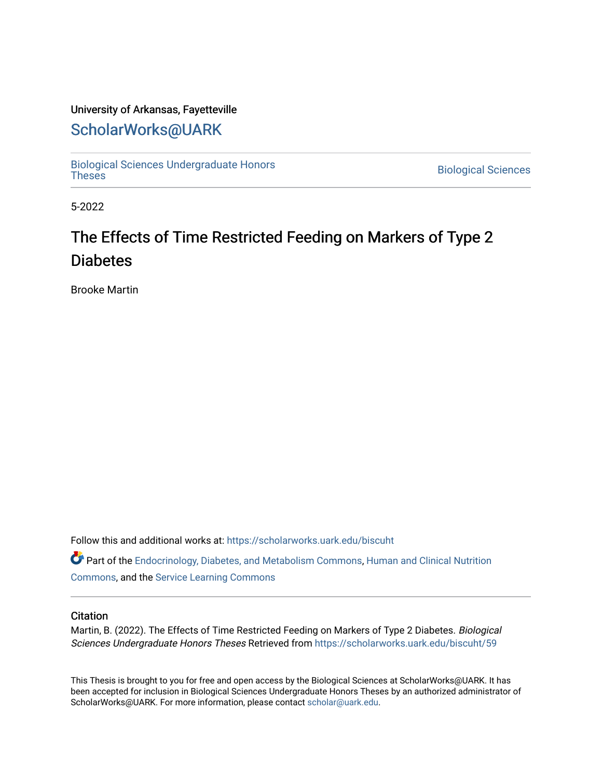## University of Arkansas, Fayetteville

## [ScholarWorks@UARK](https://scholarworks.uark.edu/)

[Biological Sciences Undergraduate Honors](https://scholarworks.uark.edu/biscuht)

**Biological Sciences** 

5-2022

# The Effects of Time Restricted Feeding on Markers of Type 2 **Diabetes**

Brooke Martin

Follow this and additional works at: [https://scholarworks.uark.edu/biscuht](https://scholarworks.uark.edu/biscuht?utm_source=scholarworks.uark.edu%2Fbiscuht%2F59&utm_medium=PDF&utm_campaign=PDFCoverPages) 

Part of the [Endocrinology, Diabetes, and Metabolism Commons](http://network.bepress.com/hgg/discipline/686?utm_source=scholarworks.uark.edu%2Fbiscuht%2F59&utm_medium=PDF&utm_campaign=PDFCoverPages), [Human and Clinical Nutrition](http://network.bepress.com/hgg/discipline/97?utm_source=scholarworks.uark.edu%2Fbiscuht%2F59&utm_medium=PDF&utm_campaign=PDFCoverPages) [Commons](http://network.bepress.com/hgg/discipline/97?utm_source=scholarworks.uark.edu%2Fbiscuht%2F59&utm_medium=PDF&utm_campaign=PDFCoverPages), and the [Service Learning Commons](http://network.bepress.com/hgg/discipline/1024?utm_source=scholarworks.uark.edu%2Fbiscuht%2F59&utm_medium=PDF&utm_campaign=PDFCoverPages)

### **Citation**

Martin, B. (2022). The Effects of Time Restricted Feeding on Markers of Type 2 Diabetes. Biological Sciences Undergraduate Honors Theses Retrieved from [https://scholarworks.uark.edu/biscuht/59](https://scholarworks.uark.edu/biscuht/59?utm_source=scholarworks.uark.edu%2Fbiscuht%2F59&utm_medium=PDF&utm_campaign=PDFCoverPages) 

This Thesis is brought to you for free and open access by the Biological Sciences at ScholarWorks@UARK. It has been accepted for inclusion in Biological Sciences Undergraduate Honors Theses by an authorized administrator of ScholarWorks@UARK. For more information, please contact [scholar@uark.edu](mailto:scholar@uark.edu).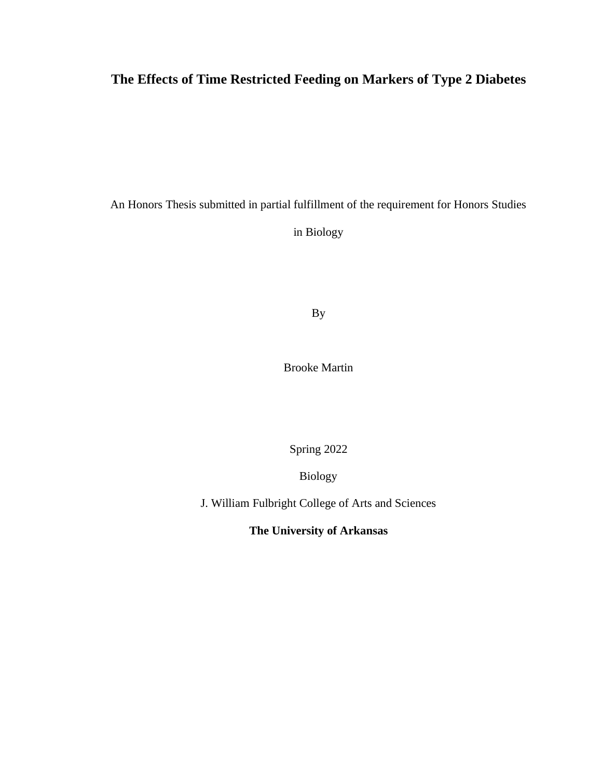## **The Effects of Time Restricted Feeding on Markers of Type 2 Diabetes**

An Honors Thesis submitted in partial fulfillment of the requirement for Honors Studies

in Biology

By

Brooke Martin

Spring 2022

Biology

J. William Fulbright College of Arts and Sciences

**The University of Arkansas**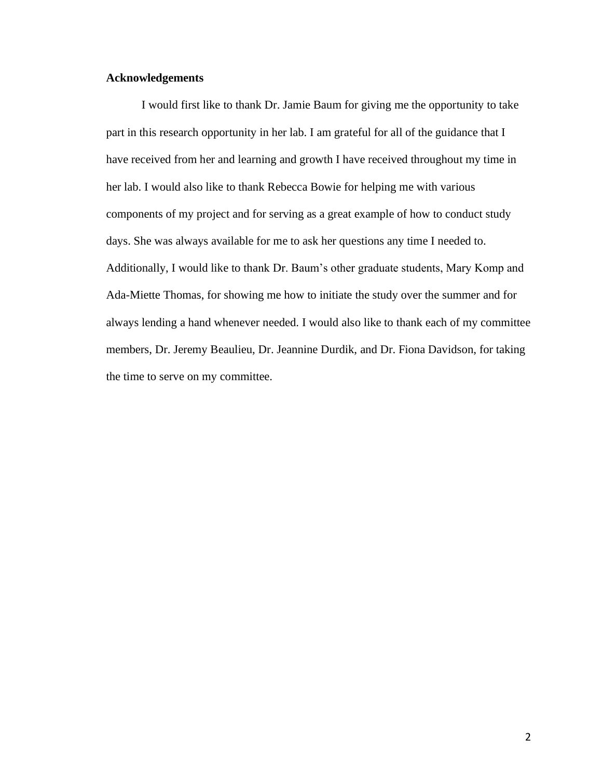## **Acknowledgements**

I would first like to thank Dr. Jamie Baum for giving me the opportunity to take part in this research opportunity in her lab. I am grateful for all of the guidance that I have received from her and learning and growth I have received throughout my time in her lab. I would also like to thank Rebecca Bowie for helping me with various components of my project and for serving as a great example of how to conduct study days. She was always available for me to ask her questions any time I needed to. Additionally, I would like to thank Dr. Baum's other graduate students, Mary Komp and Ada-Miette Thomas, for showing me how to initiate the study over the summer and for always lending a hand whenever needed. I would also like to thank each of my committee members, Dr. Jeremy Beaulieu, Dr. Jeannine Durdik, and Dr. Fiona Davidson, for taking the time to serve on my committee.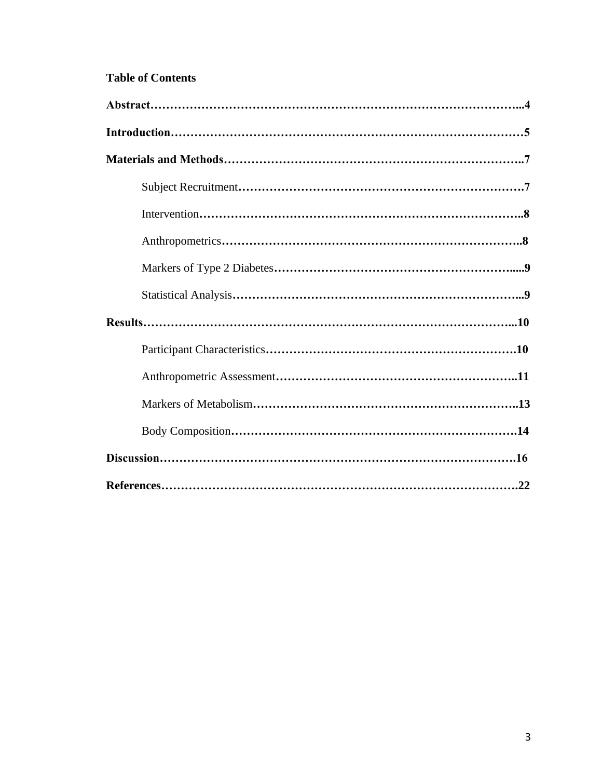## **Table of Contents**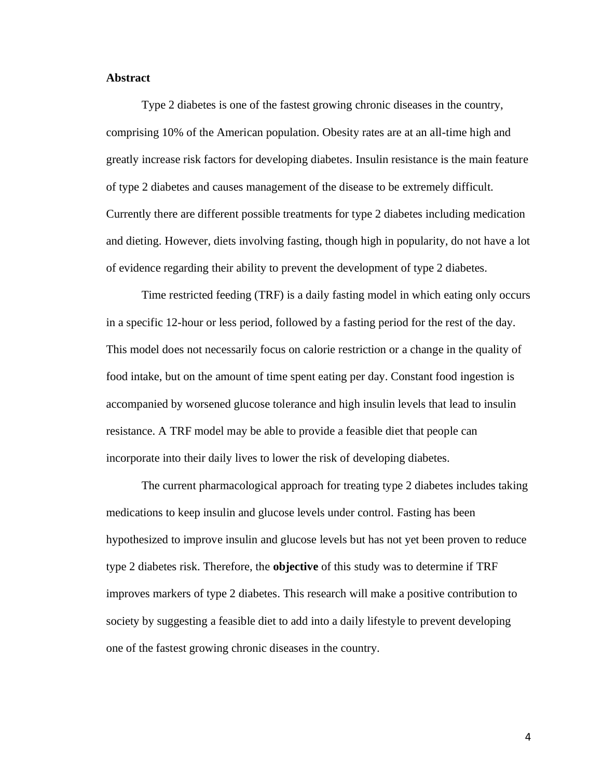## **Abstract**

Type 2 diabetes is one of the fastest growing chronic diseases in the country, comprising 10% of the American population. Obesity rates are at an all-time high and greatly increase risk factors for developing diabetes. Insulin resistance is the main feature of type 2 diabetes and causes management of the disease to be extremely difficult. Currently there are different possible treatments for type 2 diabetes including medication and dieting. However, diets involving fasting, though high in popularity, do not have a lot of evidence regarding their ability to prevent the development of type 2 diabetes.

Time restricted feeding (TRF) is a daily fasting model in which eating only occurs in a specific 12-hour or less period, followed by a fasting period for the rest of the day. This model does not necessarily focus on calorie restriction or a change in the quality of food intake, but on the amount of time spent eating per day. Constant food ingestion is accompanied by worsened glucose tolerance and high insulin levels that lead to insulin resistance. A TRF model may be able to provide a feasible diet that people can incorporate into their daily lives to lower the risk of developing diabetes.

The current pharmacological approach for treating type 2 diabetes includes taking medications to keep insulin and glucose levels under control. Fasting has been hypothesized to improve insulin and glucose levels but has not yet been proven to reduce type 2 diabetes risk. Therefore, the **objective** of this study was to determine if TRF improves markers of type 2 diabetes. This research will make a positive contribution to society by suggesting a feasible diet to add into a daily lifestyle to prevent developing one of the fastest growing chronic diseases in the country.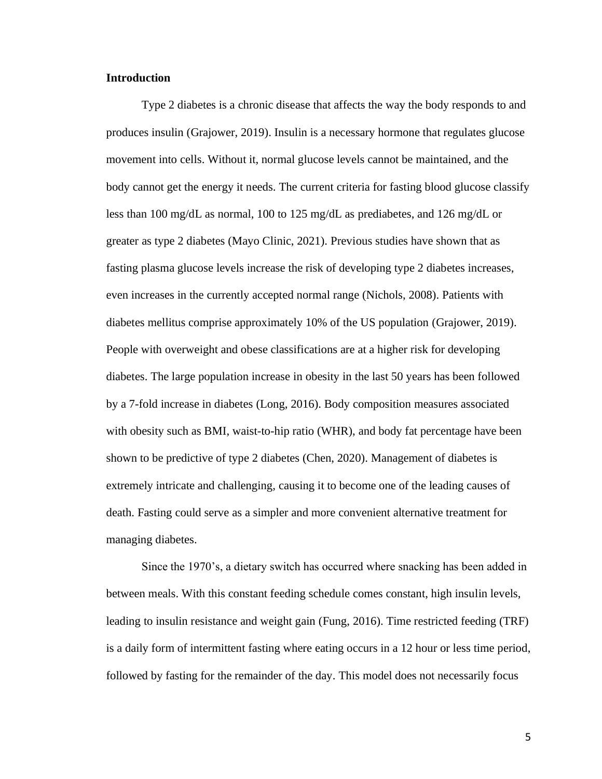## **Introduction**

Type 2 diabetes is a chronic disease that affects the way the body responds to and produces insulin (Grajower, 2019). Insulin is a necessary hormone that regulates glucose movement into cells. Without it, normal glucose levels cannot be maintained, and the body cannot get the energy it needs. The current criteria for fasting blood glucose classify less than 100 mg/dL as normal, 100 to 125 mg/dL as prediabetes, and 126 mg/dL or greater as type 2 diabetes (Mayo Clinic, 2021). Previous studies have shown that as fasting plasma glucose levels increase the risk of developing type 2 diabetes increases, even increases in the currently accepted normal range (Nichols, 2008). Patients with diabetes mellitus comprise approximately 10% of the US population (Grajower, 2019). People with overweight and obese classifications are at a higher risk for developing diabetes. The large population increase in obesity in the last 50 years has been followed by a 7-fold increase in diabetes (Long, 2016). Body composition measures associated with obesity such as BMI, waist-to-hip ratio (WHR), and body fat percentage have been shown to be predictive of type 2 diabetes (Chen, 2020). Management of diabetes is extremely intricate and challenging, causing it to become one of the leading causes of death. Fasting could serve as a simpler and more convenient alternative treatment for managing diabetes.

Since the 1970's, a dietary switch has occurred where snacking has been added in between meals. With this constant feeding schedule comes constant, high insulin levels, leading to insulin resistance and weight gain (Fung, 2016). Time restricted feeding (TRF) is a daily form of intermittent fasting where eating occurs in a 12 hour or less time period, followed by fasting for the remainder of the day. This model does not necessarily focus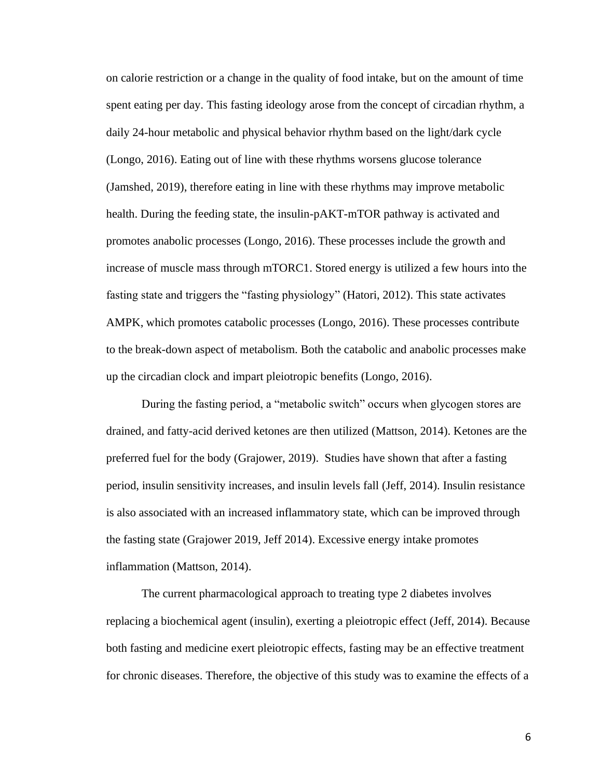on calorie restriction or a change in the quality of food intake, but on the amount of time spent eating per day. This fasting ideology arose from the concept of circadian rhythm, a daily 24-hour metabolic and physical behavior rhythm based on the light/dark cycle (Longo, 2016). Eating out of line with these rhythms worsens glucose tolerance (Jamshed, 2019), therefore eating in line with these rhythms may improve metabolic health. During the feeding state, the insulin-pAKT-mTOR pathway is activated and promotes anabolic processes (Longo, 2016). These processes include the growth and increase of muscle mass through mTORC1. Stored energy is utilized a few hours into the fasting state and triggers the "fasting physiology" (Hatori, 2012). This state activates AMPK, which promotes catabolic processes (Longo, 2016). These processes contribute to the break-down aspect of metabolism. Both the catabolic and anabolic processes make up the circadian clock and impart pleiotropic benefits (Longo, 2016).

During the fasting period, a "metabolic switch" occurs when glycogen stores are drained, and fatty-acid derived ketones are then utilized (Mattson, 2014). Ketones are the preferred fuel for the body (Grajower, 2019). Studies have shown that after a fasting period, insulin sensitivity increases, and insulin levels fall (Jeff, 2014). Insulin resistance is also associated with an increased inflammatory state, which can be improved through the fasting state (Grajower 2019, Jeff 2014). Excessive energy intake promotes inflammation (Mattson, 2014).

The current pharmacological approach to treating type 2 diabetes involves replacing a biochemical agent (insulin), exerting a pleiotropic effect (Jeff, 2014). Because both fasting and medicine exert pleiotropic effects, fasting may be an effective treatment for chronic diseases. Therefore, the objective of this study was to examine the effects of a

6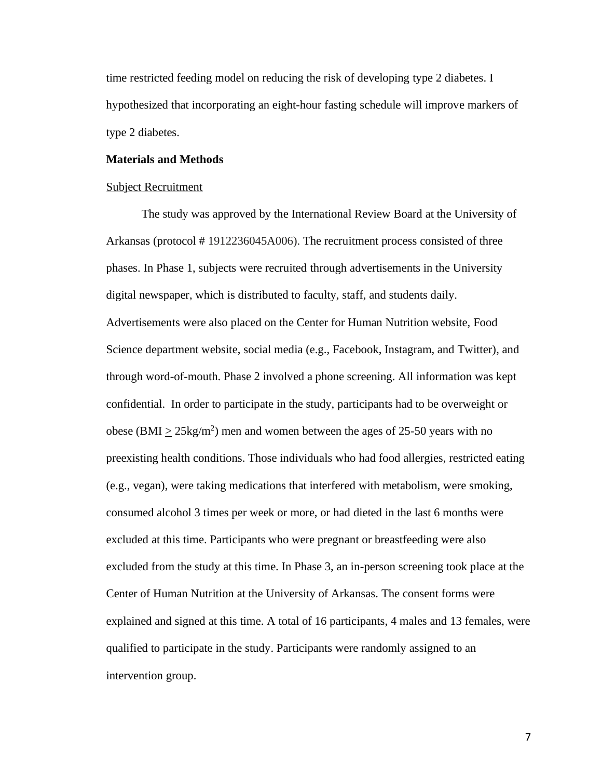time restricted feeding model on reducing the risk of developing type 2 diabetes. I hypothesized that incorporating an eight-hour fasting schedule will improve markers of type 2 diabetes.

### **Materials and Methods**

#### Subject Recruitment

The study was approved by the International Review Board at the University of Arkansas (protocol # 1912236045A006). The recruitment process consisted of three phases. In Phase 1, subjects were recruited through advertisements in the University digital newspaper, which is distributed to faculty, staff, and students daily. Advertisements were also placed on the Center for Human Nutrition website, Food Science department website, social media (e.g., Facebook, Instagram, and Twitter), and through word-of-mouth. Phase 2 involved a phone screening. All information was kept confidential. In order to participate in the study, participants had to be overweight or obese (BMI  $\geq$  25kg/m<sup>2</sup>) men and women between the ages of 25-50 years with no preexisting health conditions. Those individuals who had food allergies, restricted eating (e.g., vegan), were taking medications that interfered with metabolism, were smoking, consumed alcohol 3 times per week or more, or had dieted in the last 6 months were excluded at this time. Participants who were pregnant or breastfeeding were also excluded from the study at this time. In Phase 3, an in-person screening took place at the Center of Human Nutrition at the University of Arkansas. The consent forms were explained and signed at this time. A total of 16 participants, 4 males and 13 females, were qualified to participate in the study. Participants were randomly assigned to an intervention group.

7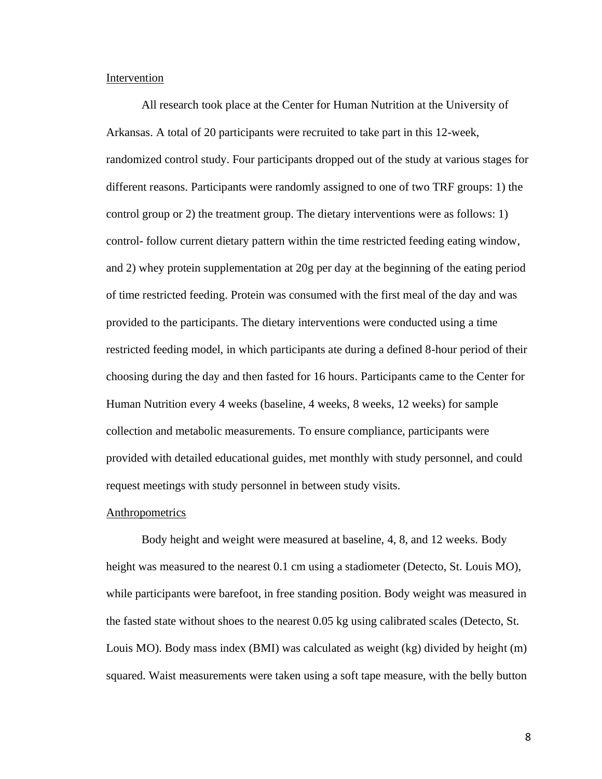## **Intervention**

All research took place at the Center for Human Nutrition at the University of Arkansas. A total of 20 participants were recruited to take part in this 12-week, randomized control study. Four participants dropped out of the study at various stages for different reasons. Participants were randomly assigned to one of two TRF groups: 1) the control group or 2) the treatment group. The dietary interventions were as follows: 1) control- follow current dietary pattern within the time restricted feeding eating window, and 2) whey protein supplementation at 20g per day at the beginning of the eating period of time restricted feeding. Protein was consumed with the first meal of the day and was provided to the participants. The dietary interventions were conducted using a time restricted feeding model, in which participants ate during a defined 8-hour period of their choosing during the day and then fasted for 16 hours. Participants came to the Center for Human Nutrition every 4 weeks (baseline, 4 weeks, 8 weeks, 12 weeks) for sample collection and metabolic measurements. To ensure compliance, participants were provided with detailed educational guides, met monthly with study personnel, and could request meetings with study personnel in between study visits.

#### **Anthropometrics**

Body height and weight were measured at baseline, 4, 8, and 12 weeks. Body height was measured to the nearest 0.1 cm using a stadiometer (Detecto, St. Louis MO), while participants were barefoot, in free standing position. Body weight was measured in the fasted state without shoes to the nearest 0.05 kg using calibrated scales (Detecto, St. Louis MO). Body mass index (BMI) was calculated as weight (kg) divided by height (m) squared. Waist measurements were taken using a soft tape measure, with the belly button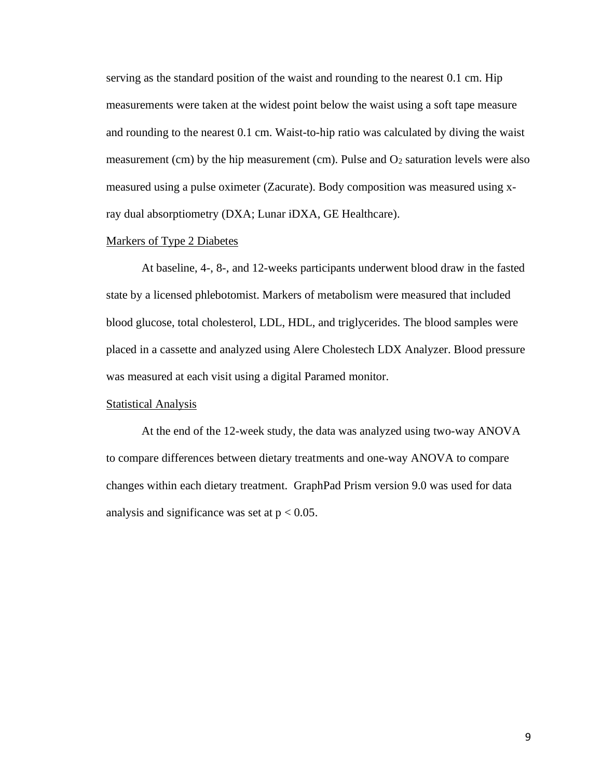serving as the standard position of the waist and rounding to the nearest 0.1 cm. Hip measurements were taken at the widest point below the waist using a soft tape measure and rounding to the nearest 0.1 cm. Waist-to-hip ratio was calculated by diving the waist measurement (cm) by the hip measurement (cm). Pulse and  $O<sub>2</sub>$  saturation levels were also measured using a pulse oximeter (Zacurate). Body composition was measured using xray dual absorptiometry (DXA; Lunar iDXA, GE Healthcare).

#### Markers of Type 2 Diabetes

At baseline, 4-, 8-, and 12-weeks participants underwent blood draw in the fasted state by a licensed phlebotomist. Markers of metabolism were measured that included blood glucose, total cholesterol, LDL, HDL, and triglycerides. The blood samples were placed in a cassette and analyzed using Alere Cholestech LDX Analyzer. Blood pressure was measured at each visit using a digital Paramed monitor.

#### **Statistical Analysis**

At the end of the 12-week study, the data was analyzed using two-way ANOVA to compare differences between dietary treatments and one-way ANOVA to compare changes within each dietary treatment. GraphPad Prism version 9.0 was used for data analysis and significance was set at  $p < 0.05$ .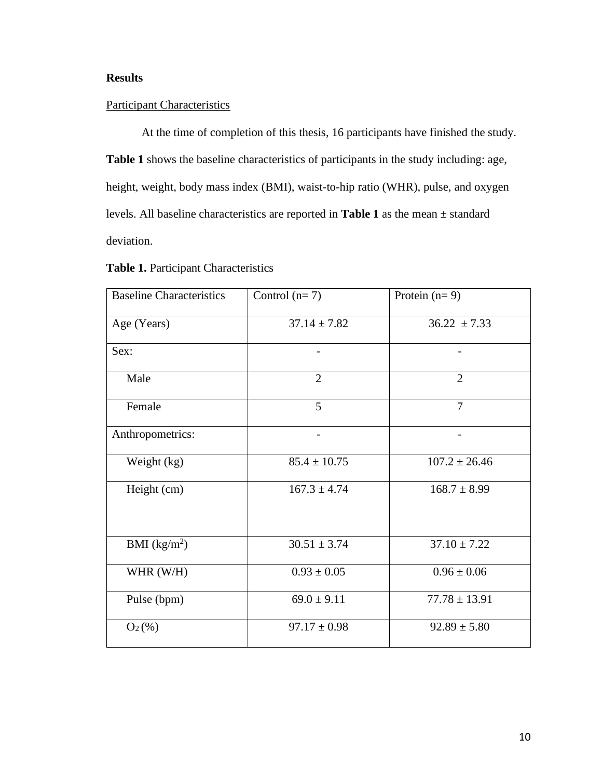## **Results**

## Participant Characteristics

At the time of completion of this thesis, 16 participants have finished the study. **Table 1** shows the baseline characteristics of participants in the study including: age, height, weight, body mass index (BMI), waist-to-hip ratio (WHR), pulse, and oxygen levels. All baseline characteristics are reported in **Table 1** as the mean ± standard deviation.

| <b>Baseline Characteristics</b> | Control $(n=7)$  | Protein $(n=9)$   |
|---------------------------------|------------------|-------------------|
| Age (Years)                     | $37.14 \pm 7.82$ | $36.22 \pm 7.33$  |
| Sex:                            |                  |                   |
| Male                            | $\overline{2}$   | $\overline{2}$    |
| Female                          | 5                | $\overline{7}$    |
| Anthropometrics:                |                  |                   |
| Weight (kg)                     | $85.4 \pm 10.75$ | $107.2 \pm 26.46$ |
| Height (cm)                     | $167.3 \pm 4.74$ | $168.7 \pm 8.99$  |
| BMI $(kg/m2)$                   | $30.51 \pm 3.74$ | $37.10 \pm 7.22$  |
| WHR $(W/H)$                     | $0.93 \pm 0.05$  | $0.96 \pm 0.06$   |
| Pulse (bpm)                     | $69.0 \pm 9.11$  | $77.78 \pm 13.91$ |
| $O_2(\%)$                       | $97.17 \pm 0.98$ | $92.89 \pm 5.80$  |

## **Table 1.** Participant Characteristics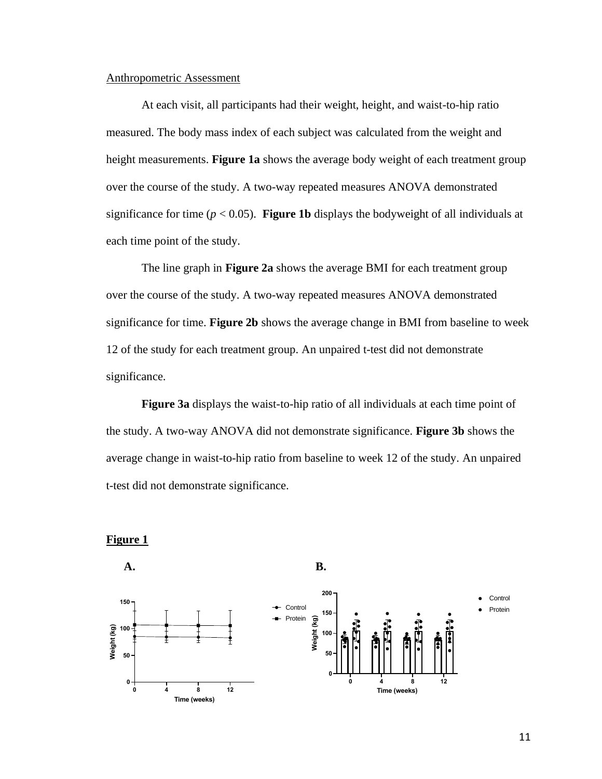### Anthropometric Assessment

At each visit, all participants had their weight, height, and waist-to-hip ratio measured. The body mass index of each subject was calculated from the weight and height measurements. **Figure 1a** shows the average body weight of each treatment group over the course of the study. A two-way repeated measures ANOVA demonstrated significance for time ( $p < 0.05$ ). **Figure 1b** displays the bodyweight of all individuals at each time point of the study.

The line graph in **Figure 2a** shows the average BMI for each treatment group over the course of the study. A two-way repeated measures ANOVA demonstrated significance for time. **Figure 2b** shows the average change in BMI from baseline to week 12 of the study for each treatment group. An unpaired t-test did not demonstrate significance.

**Figure 3a** displays the waist-to-hip ratio of all individuals at each time point of the study. A two-way ANOVA did not demonstrate significance. **Figure 3b** shows the average change in waist-to-hip ratio from baseline to week 12 of the study. An unpaired t-test did not demonstrate significance.



**Figure 1**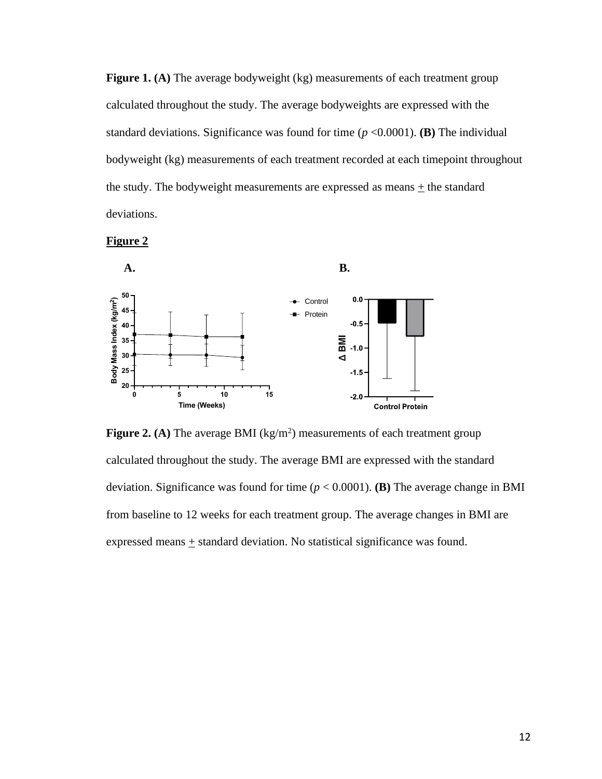**Figure 1. (A)** The average bodyweight (kg) measurements of each treatment group calculated throughout the study. The average bodyweights are expressed with the standard deviations. Significance was found for time  $(p \le 0.0001)$ . **(B)** The individual bodyweight (kg) measurements of each treatment recorded at each timepoint throughout the study. The bodyweight measurements are expressed as means + the standard deviations.





**Figure 2.** (A) The average BMI  $(kg/m^2)$  measurements of each treatment group calculated throughout the study. The average BMI are expressed with the standard deviation. Significance was found for time (*p* < 0.0001). **(B)** The average change in BMI from baseline to 12 weeks for each treatment group. The average changes in BMI are expressed means + standard deviation. No statistical significance was found.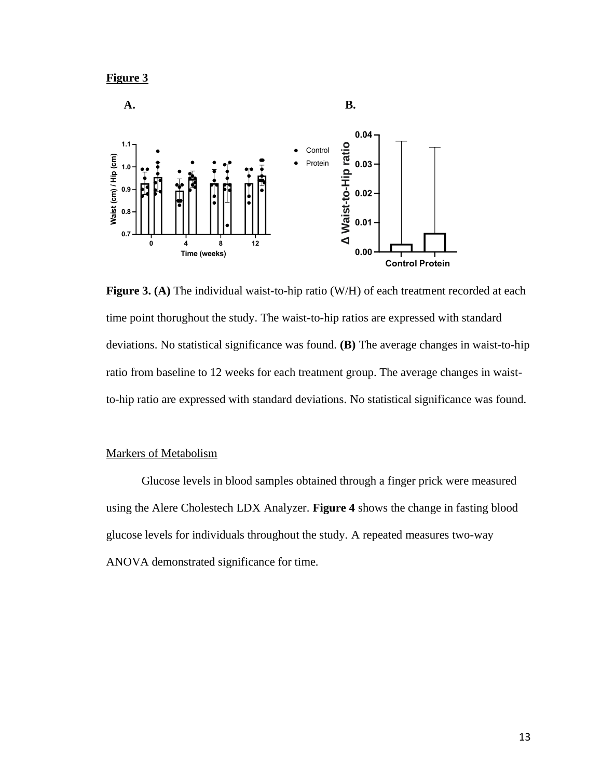



**Figure 3. (A)** The individual waist-to-hip ratio (W/H) of each treatment recorded at each time point thorughout the study. The waist-to-hip ratios are expressed with standard deviations. No statistical significance was found. **(B)** The average changes in waist-to-hip ratio from baseline to 12 weeks for each treatment group. The average changes in waistto-hip ratio are expressed with standard deviations. No statistical significance was found.

## Markers of Metabolism

Glucose levels in blood samples obtained through a finger prick were measured using the Alere Cholestech LDX Analyzer. **Figure 4** shows the change in fasting blood glucose levels for individuals throughout the study. A repeated measures two-way ANOVA demonstrated significance for time.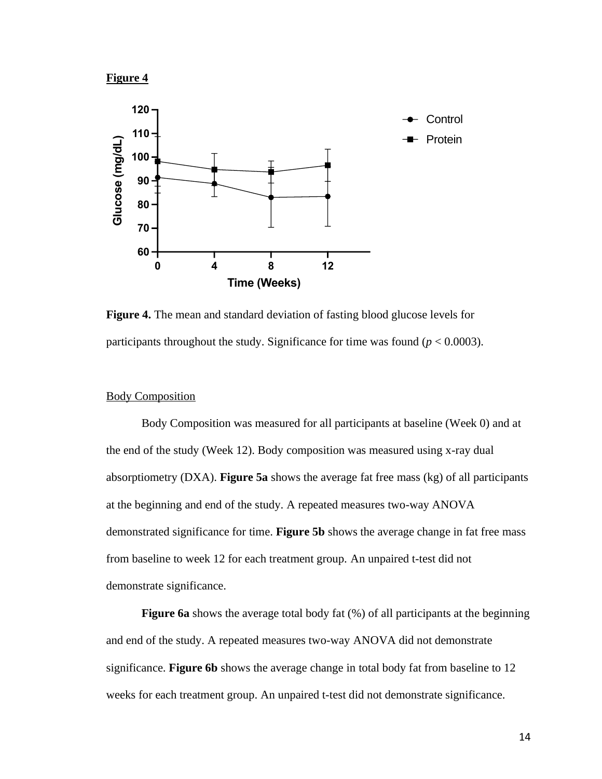



**Figure 4.** The mean and standard deviation of fasting blood glucose levels for participants throughout the study. Significance for time was found ( $p < 0.0003$ ).

## Body Composition

Body Composition was measured for all participants at baseline (Week 0) and at the end of the study (Week 12). Body composition was measured using x-ray dual absorptiometry (DXA). **Figure 5a** shows the average fat free mass (kg) of all participants at the beginning and end of the study. A repeated measures two-way ANOVA demonstrated significance for time. **Figure 5b** shows the average change in fat free mass from baseline to week 12 for each treatment group. An unpaired t-test did not demonstrate significance.

**Figure 6a** shows the average total body fat (%) of all participants at the beginning and end of the study. A repeated measures two-way ANOVA did not demonstrate significance. **Figure 6b** shows the average change in total body fat from baseline to 12 weeks for each treatment group. An unpaired t-test did not demonstrate significance.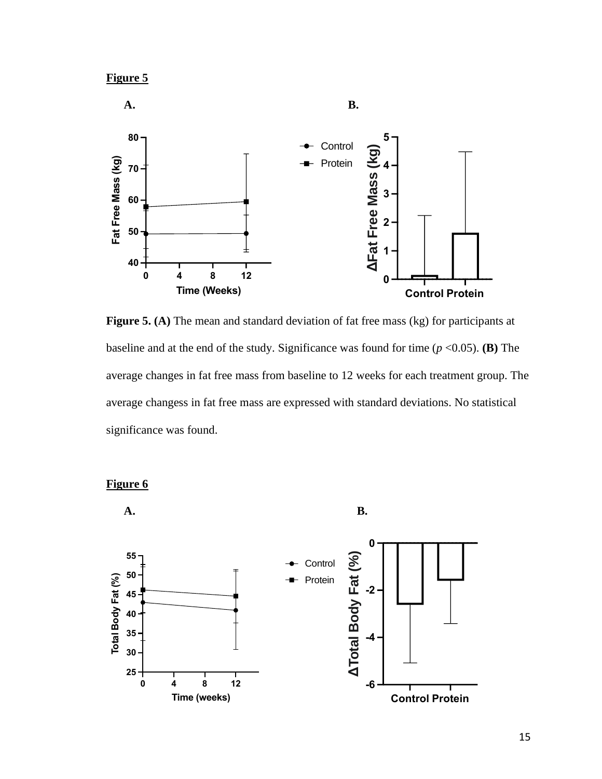

**Figure 5. (A)** The mean and standard deviation of fat free mass (kg) for participants at baseline and at the end of the study. Significance was found for time  $(p \le 0.05)$ . **(B)** The average changes in fat free mass from baseline to 12 weeks for each treatment group. The average changess in fat free mass are expressed with standard deviations. No statistical significance was found.



**Figure 6**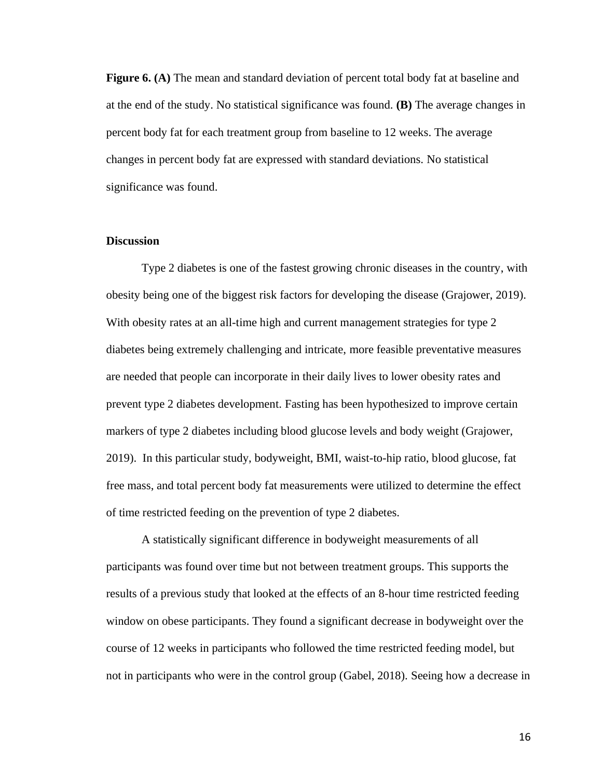**Figure 6. (A)** The mean and standard deviation of percent total body fat at baseline and at the end of the study. No statistical significance was found. **(B)** The average changes in percent body fat for each treatment group from baseline to 12 weeks. The average changes in percent body fat are expressed with standard deviations. No statistical significance was found.

#### **Discussion**

Type 2 diabetes is one of the fastest growing chronic diseases in the country, with obesity being one of the biggest risk factors for developing the disease (Grajower, 2019). With obesity rates at an all-time high and current management strategies for type 2 diabetes being extremely challenging and intricate, more feasible preventative measures are needed that people can incorporate in their daily lives to lower obesity rates and prevent type 2 diabetes development. Fasting has been hypothesized to improve certain markers of type 2 diabetes including blood glucose levels and body weight (Grajower, 2019). In this particular study, bodyweight, BMI, waist-to-hip ratio, blood glucose, fat free mass, and total percent body fat measurements were utilized to determine the effect of time restricted feeding on the prevention of type 2 diabetes.

A statistically significant difference in bodyweight measurements of all participants was found over time but not between treatment groups. This supports the results of a previous study that looked at the effects of an 8-hour time restricted feeding window on obese participants. They found a significant decrease in bodyweight over the course of 12 weeks in participants who followed the time restricted feeding model, but not in participants who were in the control group (Gabel, 2018). Seeing how a decrease in

16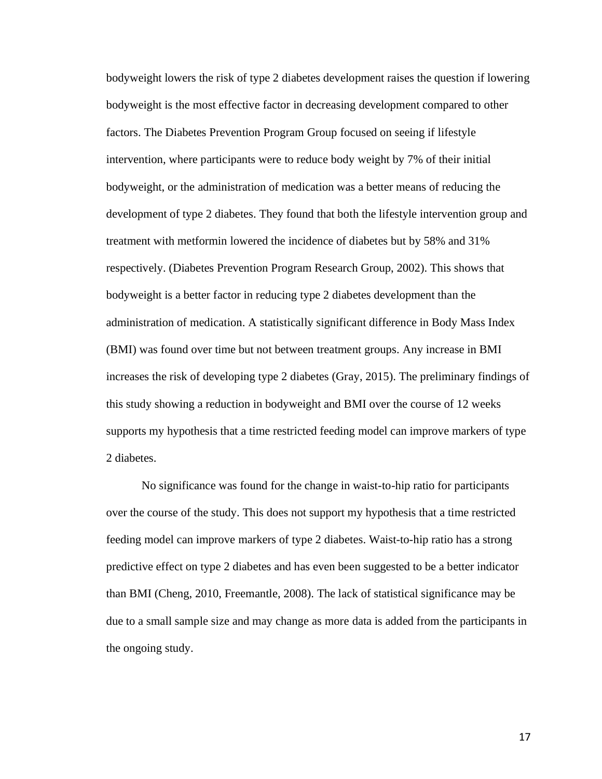bodyweight lowers the risk of type 2 diabetes development raises the question if lowering bodyweight is the most effective factor in decreasing development compared to other factors. The Diabetes Prevention Program Group focused on seeing if lifestyle intervention, where participants were to reduce body weight by 7% of their initial bodyweight, or the administration of medication was a better means of reducing the development of type 2 diabetes. They found that both the lifestyle intervention group and treatment with metformin lowered the incidence of diabetes but by 58% and 31% respectively. (Diabetes Prevention Program Research Group, 2002). This shows that bodyweight is a better factor in reducing type 2 diabetes development than the administration of medication. A statistically significant difference in Body Mass Index (BMI) was found over time but not between treatment groups. Any increase in BMI increases the risk of developing type 2 diabetes (Gray, 2015). The preliminary findings of this study showing a reduction in bodyweight and BMI over the course of 12 weeks supports my hypothesis that a time restricted feeding model can improve markers of type 2 diabetes.

No significance was found for the change in waist-to-hip ratio for participants over the course of the study. This does not support my hypothesis that a time restricted feeding model can improve markers of type 2 diabetes. Waist-to-hip ratio has a strong predictive effect on type 2 diabetes and has even been suggested to be a better indicator than BMI (Cheng, 2010, Freemantle, 2008). The lack of statistical significance may be due to a small sample size and may change as more data is added from the participants in the ongoing study.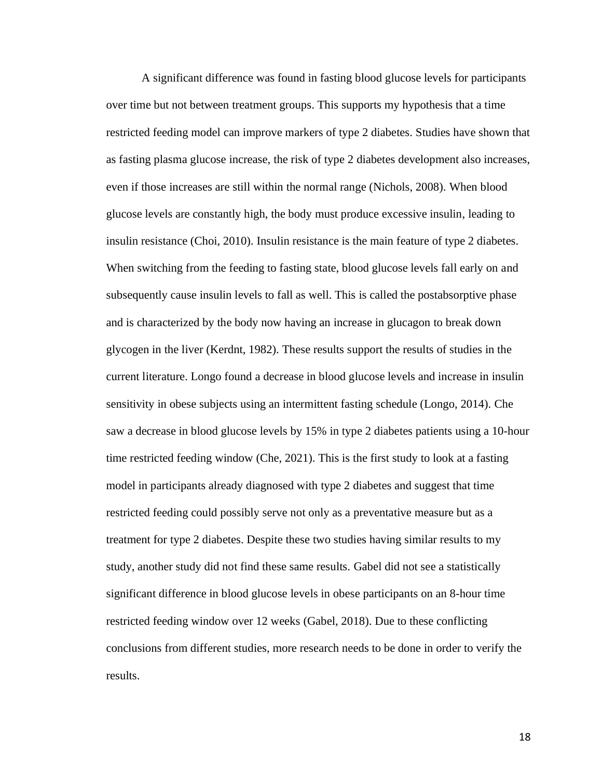A significant difference was found in fasting blood glucose levels for participants over time but not between treatment groups. This supports my hypothesis that a time restricted feeding model can improve markers of type 2 diabetes. Studies have shown that as fasting plasma glucose increase, the risk of type 2 diabetes development also increases, even if those increases are still within the normal range (Nichols, 2008). When blood glucose levels are constantly high, the body must produce excessive insulin, leading to insulin resistance (Choi, 2010). Insulin resistance is the main feature of type 2 diabetes. When switching from the feeding to fasting state, blood glucose levels fall early on and subsequently cause insulin levels to fall as well. This is called the postabsorptive phase and is characterized by the body now having an increase in glucagon to break down glycogen in the liver (Kerdnt, 1982). These results support the results of studies in the current literature. Longo found a decrease in blood glucose levels and increase in insulin sensitivity in obese subjects using an intermittent fasting schedule (Longo, 2014). Che saw a decrease in blood glucose levels by 15% in type 2 diabetes patients using a 10-hour time restricted feeding window (Che, 2021). This is the first study to look at a fasting model in participants already diagnosed with type 2 diabetes and suggest that time restricted feeding could possibly serve not only as a preventative measure but as a treatment for type 2 diabetes. Despite these two studies having similar results to my study, another study did not find these same results. Gabel did not see a statistically significant difference in blood glucose levels in obese participants on an 8-hour time restricted feeding window over 12 weeks (Gabel, 2018). Due to these conflicting conclusions from different studies, more research needs to be done in order to verify the results.

18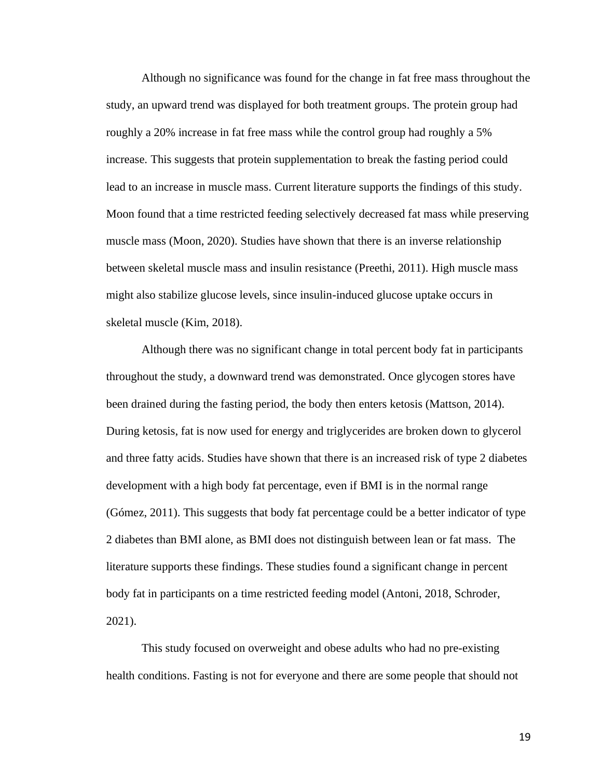Although no significance was found for the change in fat free mass throughout the study, an upward trend was displayed for both treatment groups. The protein group had roughly a 20% increase in fat free mass while the control group had roughly a 5% increase. This suggests that protein supplementation to break the fasting period could lead to an increase in muscle mass. Current literature supports the findings of this study. Moon found that a time restricted feeding selectively decreased fat mass while preserving muscle mass (Moon, 2020). Studies have shown that there is an inverse relationship between skeletal muscle mass and insulin resistance (Preethi, 2011). High muscle mass might also stabilize glucose levels, since insulin-induced glucose uptake occurs in skeletal muscle (Kim, 2018).

Although there was no significant change in total percent body fat in participants throughout the study, a downward trend was demonstrated. Once glycogen stores have been drained during the fasting period, the body then enters ketosis (Mattson, 2014). During ketosis, fat is now used for energy and triglycerides are broken down to glycerol and three fatty acids. Studies have shown that there is an increased risk of type 2 diabetes development with a high body fat percentage, even if BMI is in the normal range (Gómez, 2011). This suggests that body fat percentage could be a better indicator of type 2 diabetes than BMI alone, as BMI does not distinguish between lean or fat mass. The literature supports these findings. These studies found a significant change in percent body fat in participants on a time restricted feeding model (Antoni, 2018, Schroder, 2021).

This study focused on overweight and obese adults who had no pre-existing health conditions. Fasting is not for everyone and there are some people that should not

19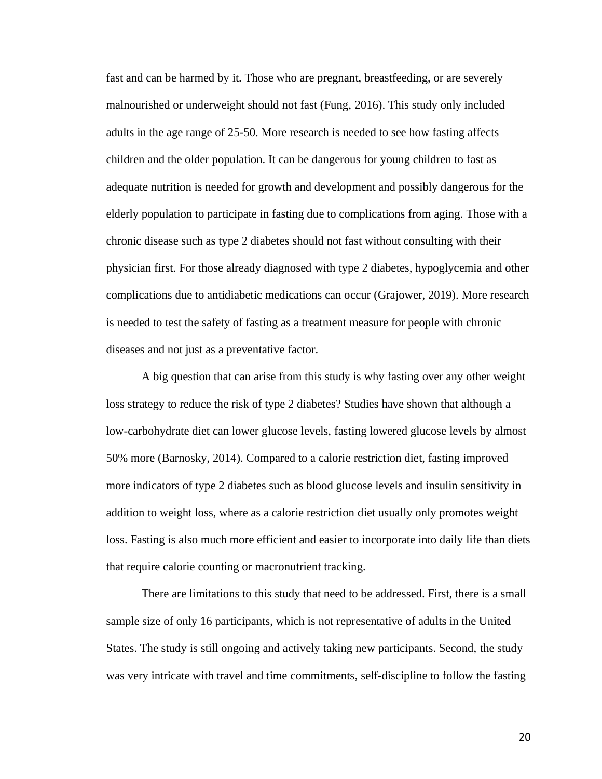fast and can be harmed by it. Those who are pregnant, breastfeeding, or are severely malnourished or underweight should not fast (Fung, 2016). This study only included adults in the age range of 25-50. More research is needed to see how fasting affects children and the older population. It can be dangerous for young children to fast as adequate nutrition is needed for growth and development and possibly dangerous for the elderly population to participate in fasting due to complications from aging. Those with a chronic disease such as type 2 diabetes should not fast without consulting with their physician first. For those already diagnosed with type 2 diabetes, hypoglycemia and other complications due to antidiabetic medications can occur (Grajower, 2019). More research is needed to test the safety of fasting as a treatment measure for people with chronic diseases and not just as a preventative factor.

A big question that can arise from this study is why fasting over any other weight loss strategy to reduce the risk of type 2 diabetes? Studies have shown that although a low-carbohydrate diet can lower glucose levels, fasting lowered glucose levels by almost 50% more (Barnosky, 2014). Compared to a calorie restriction diet, fasting improved more indicators of type 2 diabetes such as blood glucose levels and insulin sensitivity in addition to weight loss, where as a calorie restriction diet usually only promotes weight loss. Fasting is also much more efficient and easier to incorporate into daily life than diets that require calorie counting or macronutrient tracking.

There are limitations to this study that need to be addressed. First, there is a small sample size of only 16 participants, which is not representative of adults in the United States. The study is still ongoing and actively taking new participants. Second, the study was very intricate with travel and time commitments, self-discipline to follow the fasting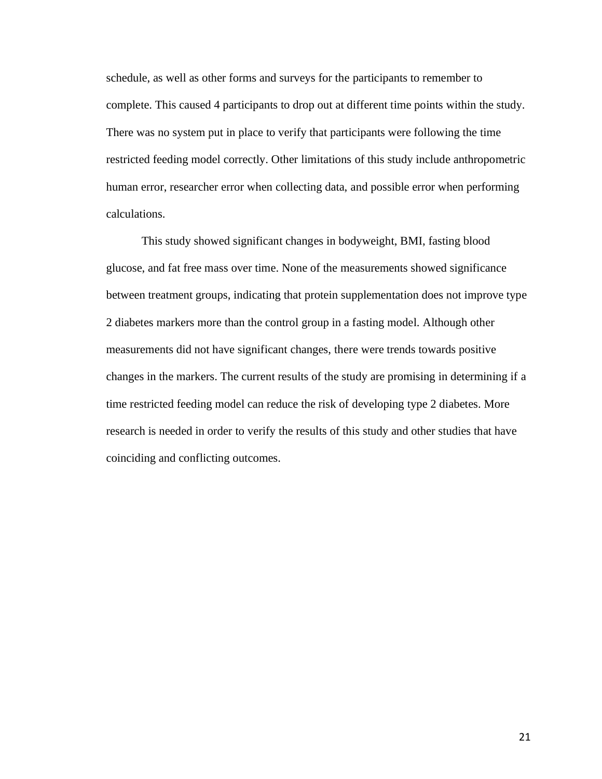schedule, as well as other forms and surveys for the participants to remember to complete. This caused 4 participants to drop out at different time points within the study. There was no system put in place to verify that participants were following the time restricted feeding model correctly. Other limitations of this study include anthropometric human error, researcher error when collecting data, and possible error when performing calculations.

This study showed significant changes in bodyweight, BMI, fasting blood glucose, and fat free mass over time. None of the measurements showed significance between treatment groups, indicating that protein supplementation does not improve type 2 diabetes markers more than the control group in a fasting model. Although other measurements did not have significant changes, there were trends towards positive changes in the markers. The current results of the study are promising in determining if a time restricted feeding model can reduce the risk of developing type 2 diabetes. More research is needed in order to verify the results of this study and other studies that have coinciding and conflicting outcomes.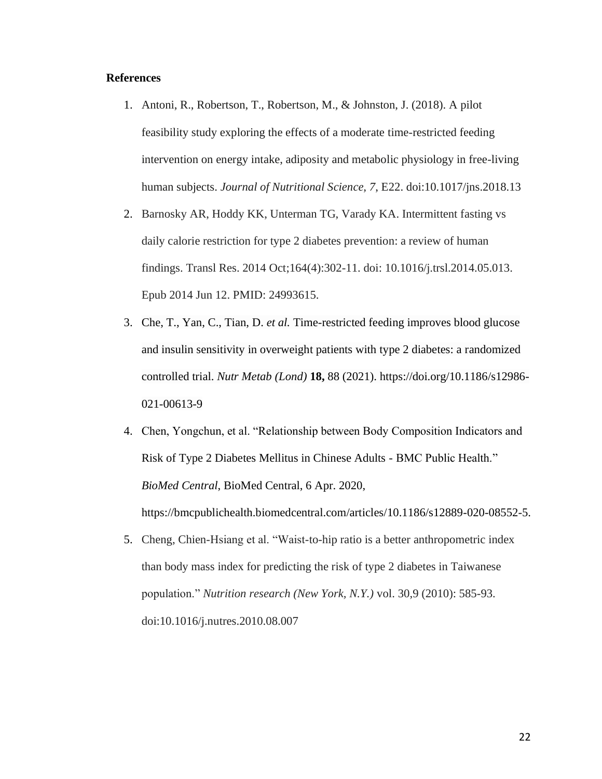## **References**

- 1. Antoni, R., Robertson, T., Robertson, M., & Johnston, J. (2018). A pilot feasibility study exploring the effects of a moderate time-restricted feeding intervention on energy intake, adiposity and metabolic physiology in free-living human subjects. *Journal of Nutritional Science, 7*, E22. doi:10.1017/jns.2018.13
- 2. Barnosky AR, Hoddy KK, Unterman TG, Varady KA. Intermittent fasting vs daily calorie restriction for type 2 diabetes prevention: a review of human findings. Transl Res. 2014 Oct;164(4):302-11. doi: 10.1016/j.trsl.2014.05.013. Epub 2014 Jun 12. PMID: 24993615.
- 3. Che, T., Yan, C., Tian, D. *et al.* Time-restricted feeding improves blood glucose and insulin sensitivity in overweight patients with type 2 diabetes: a randomized controlled trial. *Nutr Metab (Lond)* **18,** 88 (2021). https://doi.org/10.1186/s12986- 021-00613-9
- 4. Chen, Yongchun, et al. "Relationship between Body Composition Indicators and Risk of Type 2 Diabetes Mellitus in Chinese Adults - BMC Public Health." *BioMed Central*, BioMed Central, 6 Apr. 2020,

https://bmcpublichealth.biomedcentral.com/articles/10.1186/s12889-020-08552-5.

5. Cheng, Chien-Hsiang et al. "Waist-to-hip ratio is a better anthropometric index than body mass index for predicting the risk of type 2 diabetes in Taiwanese population." *Nutrition research (New York, N.Y.)* vol. 30,9 (2010): 585-93. doi:10.1016/j.nutres.2010.08.007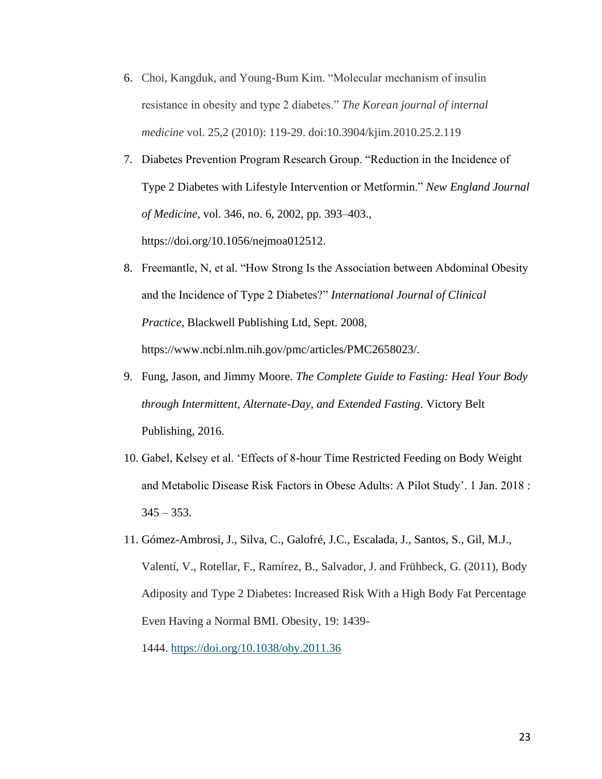- 6. Choi, Kangduk, and Young-Bum Kim. "Molecular mechanism of insulin resistance in obesity and type 2 diabetes." *The Korean journal of internal medicine* vol. 25,2 (2010): 119-29. doi:10.3904/kjim.2010.25.2.119
- 7. Diabetes Prevention Program Research Group. "Reduction in the Incidence of Type 2 Diabetes with Lifestyle Intervention or Metformin." *New England Journal of Medicine*, vol. 346, no. 6, 2002, pp. 393–403., https://doi.org/10.1056/nejmoa012512.
- 8. Freemantle, N, et al. "How Strong Is the Association between Abdominal Obesity and the Incidence of Type 2 Diabetes?" *International Journal of Clinical Practice*, Blackwell Publishing Ltd, Sept. 2008, https://www.ncbi.nlm.nih.gov/pmc/articles/PMC2658023/.
- 9. Fung, Jason, and Jimmy Moore. *The Complete Guide to Fasting: Heal Your Body through Intermittent, Alternate-Day, and Extended Fasting*. Victory Belt Publishing, 2016.
- 10. Gabel, Kelsey et al. 'Effects of 8-hour Time Restricted Feeding on Body Weight and Metabolic Disease Risk Factors in Obese Adults: A Pilot Study'. 1 Jan. 2018 :  $345 - 353$ .
- 11. Gómez-Ambrosi, J., Silva, C., Galofré, J.C., Escalada, J., Santos, S., Gil, M.J., Valentí, V., Rotellar, F., Ramírez, B., Salvador, J. and Frühbeck, G. (2011), Body Adiposity and Type 2 Diabetes: Increased Risk With a High Body Fat Percentage Even Having a Normal BMI. Obesity, 19: 1439-

1444. <https://doi.org/10.1038/oby.2011.36>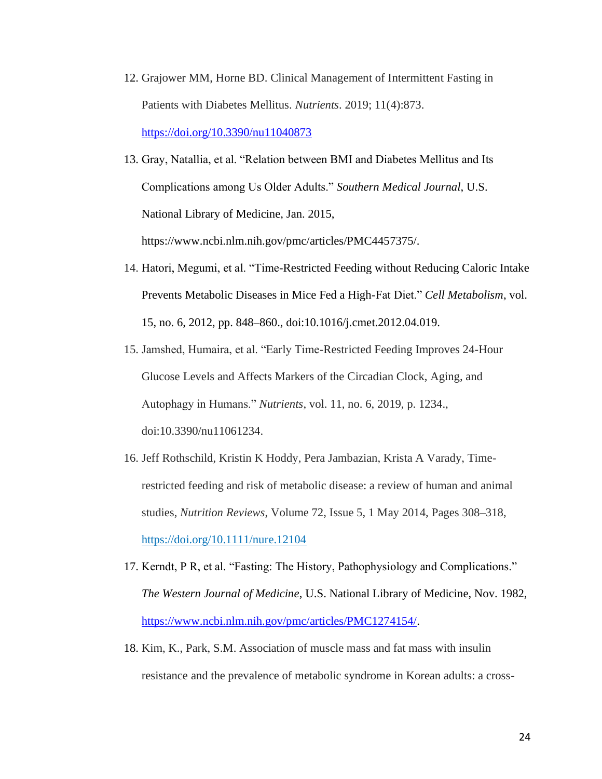- 12. Grajower MM, Horne BD. Clinical Management of Intermittent Fasting in Patients with Diabetes Mellitus. *Nutrients*. 2019; 11(4):873. <https://doi.org/10.3390/nu11040873>
- 13. Gray, Natallia, et al. "Relation between BMI and Diabetes Mellitus and Its Complications among Us Older Adults." *Southern Medical Journal*, U.S. National Library of Medicine, Jan. 2015, https://www.ncbi.nlm.nih.gov/pmc/articles/PMC4457375/.
- 14. Hatori, Megumi, et al. "Time-Restricted Feeding without Reducing Caloric Intake Prevents Metabolic Diseases in Mice Fed a High-Fat Diet." *Cell Metabolism*, vol. 15, no. 6, 2012, pp. 848–860., doi:10.1016/j.cmet.2012.04.019.
- 15. Jamshed, Humaira, et al. "Early Time-Restricted Feeding Improves 24-Hour Glucose Levels and Affects Markers of the Circadian Clock, Aging, and Autophagy in Humans." *Nutrients*, vol. 11, no. 6, 2019, p. 1234., doi:10.3390/nu11061234.
- 16. Jeff Rothschild, Kristin K Hoddy, Pera Jambazian, Krista A Varady, Timerestricted feeding and risk of metabolic disease: a review of human and animal studies, *Nutrition Reviews*, Volume 72, Issue 5, 1 May 2014, Pages 308–318, <https://doi.org/10.1111/nure.12104>
- 17. Kerndt, P R, et al. "Fasting: The History, Pathophysiology and Complications." *The Western Journal of Medicine*, U.S. National Library of Medicine, Nov. 1982, [https://www.ncbi.nlm.nih.gov/pmc/articles/PMC1274154/.](https://www.ncbi.nlm.nih.gov/pmc/articles/PMC1274154/)
- 18. Kim, K., Park, S.M. Association of muscle mass and fat mass with insulin resistance and the prevalence of metabolic syndrome in Korean adults: a cross-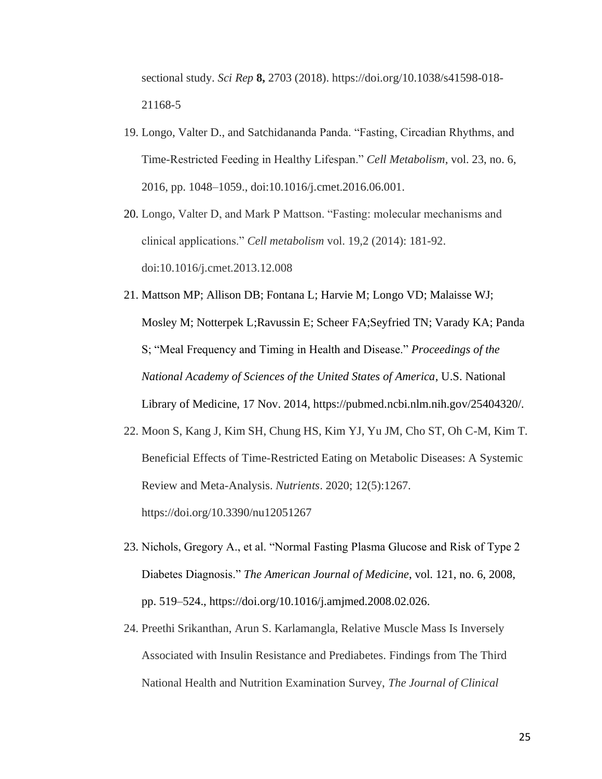sectional study. *Sci Rep* **8,** 2703 (2018). https://doi.org/10.1038/s41598-018- 21168-5

- 19. Longo, Valter D., and Satchidananda Panda. "Fasting, Circadian Rhythms, and Time-Restricted Feeding in Healthy Lifespan." *Cell Metabolism*, vol. 23, no. 6, 2016, pp. 1048–1059., doi:10.1016/j.cmet.2016.06.001.
- 20. Longo, Valter D, and Mark P Mattson. "Fasting: molecular mechanisms and clinical applications." *Cell metabolism* vol. 19,2 (2014): 181-92. doi:10.1016/j.cmet.2013.12.008
- 21. Mattson MP; Allison DB; Fontana L; Harvie M; Longo VD; Malaisse WJ; Mosley M; Notterpek L;Ravussin E; Scheer FA;Seyfried TN; Varady KA; Panda S; "Meal Frequency and Timing in Health and Disease." *Proceedings of the National Academy of Sciences of the United States of America*, U.S. National Library of Medicine, 17 Nov. 2014, https://pubmed.ncbi.nlm.nih.gov/25404320/.
- 22. Moon S, Kang J, Kim SH, Chung HS, Kim YJ, Yu JM, Cho ST, Oh C-M, Kim T. Beneficial Effects of Time-Restricted Eating on Metabolic Diseases: A Systemic Review and Meta-Analysis. *Nutrients*. 2020; 12(5):1267. https://doi.org/10.3390/nu12051267
- 23. Nichols, Gregory A., et al. "Normal Fasting Plasma Glucose and Risk of Type 2 Diabetes Diagnosis." *The American Journal of Medicine*, vol. 121, no. 6, 2008, pp. 519–524., https://doi.org/10.1016/j.amjmed.2008.02.026.
- 24. Preethi Srikanthan, Arun S. Karlamangla, Relative Muscle Mass Is Inversely Associated with Insulin Resistance and Prediabetes. Findings from The Third National Health and Nutrition Examination Survey, *The Journal of Clinical*